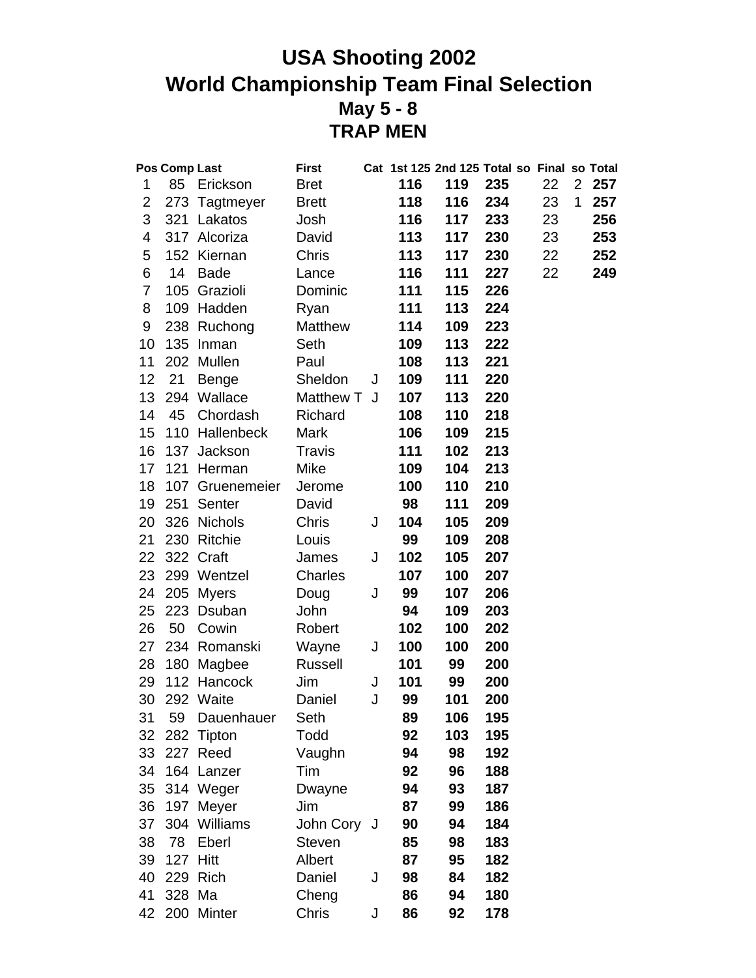# **USA Shooting 2002 World Championship Team Final Selection May 5 - 8 TRAP MEN**

|                | Pos Comp Last |                 | <b>First</b>  |   |     | Cat 1st 125 2nd 125 Total so Final so Total |     |    |                |     |
|----------------|---------------|-----------------|---------------|---|-----|---------------------------------------------|-----|----|----------------|-----|
| 1              | 85            | Erickson        | <b>Bret</b>   |   | 116 | 119                                         | 235 | 22 | 2 <sup>1</sup> | 257 |
| $\overline{2}$ | 273           | Tagtmeyer       | <b>Brett</b>  |   | 118 | 116                                         | 234 | 23 | 1              | 257 |
| 3              | 321           | Lakatos         | Josh          |   | 116 | 117                                         | 233 | 23 |                | 256 |
| 4              |               | 317 Alcoriza    | David         |   | 113 | 117                                         | 230 | 23 |                | 253 |
| 5              |               | 152 Kiernan     | Chris         |   | 113 | 117                                         | 230 | 22 |                | 252 |
| 6              | 14            | <b>Bade</b>     | Lance         |   | 116 | 111                                         | 227 | 22 |                | 249 |
| 7              | 105           | Grazioli        | Dominic       |   | 111 | 115                                         | 226 |    |                |     |
| 8              |               | 109 Hadden      | Ryan          |   | 111 | 113                                         | 224 |    |                |     |
| 9              | 238           | Ruchong         | Matthew       |   | 114 | 109                                         | 223 |    |                |     |
| 10             |               | 135 Inman       | Seth          |   | 109 | 113                                         | 222 |    |                |     |
| 11             |               | 202 Mullen      | Paul          |   | 108 | 113                                         | 221 |    |                |     |
| 12             | 21            | <b>Benge</b>    | Sheldon       | J | 109 | 111                                         | 220 |    |                |     |
| 13             | 294           | Wallace         | Matthew T     | J | 107 | 113                                         | 220 |    |                |     |
| 14             | 45            | Chordash        | Richard       |   | 108 | 110                                         | 218 |    |                |     |
| 15             | 110           | Hallenbeck      | <b>Mark</b>   |   | 106 | 109                                         | 215 |    |                |     |
| 16             | 137           | Jackson         | Travis        |   | 111 | 102                                         | 213 |    |                |     |
| 17             | 121           | Herman          | Mike          |   | 109 | 104                                         | 213 |    |                |     |
| 18             |               | 107 Gruenemeier | Jerome        |   | 100 | 110                                         | 210 |    |                |     |
| 19             | 251           | Senter          | David         |   | 98  | 111                                         | 209 |    |                |     |
| 20             |               | 326 Nichols     | Chris         | J | 104 | 105                                         | 209 |    |                |     |
| 21             |               | 230 Ritchie     | Louis         |   | 99  | 109                                         | 208 |    |                |     |
| 22             |               | 322 Craft       | James         | J | 102 | 105                                         | 207 |    |                |     |
| 23             |               | 299 Wentzel     | Charles       |   | 107 | 100                                         | 207 |    |                |     |
| 24             | 205           | Myers           | Doug          | J | 99  | 107                                         | 206 |    |                |     |
| 25             |               | 223 Dsuban      | John          |   | 94  | 109                                         | 203 |    |                |     |
| 26             | 50            | Cowin           | Robert        |   | 102 | 100                                         | 202 |    |                |     |
| 27             | 234           | Romanski        | Wayne         | J | 100 | 100                                         | 200 |    |                |     |
| 28             |               | 180 Magbee      | Russell       |   | 101 | 99                                          | 200 |    |                |     |
| 29             |               | 112 Hancock     | Jim           | J | 101 | 99                                          | 200 |    |                |     |
| 30             |               | 292 Waite       | Daniel        | J | 99  | 101                                         | 200 |    |                |     |
| 31             | 59            | Dauenhauer      | Seth          |   | 89  | 106                                         | 195 |    |                |     |
| 32             | 282           | Tipton          | Todd          |   | 92  | 103                                         | 195 |    |                |     |
| 33             |               | 227 Reed        | Vaughn        |   | 94  | 98                                          | 192 |    |                |     |
| 34             | 164           | Lanzer          | Tim           |   | 92  | 96                                          | 188 |    |                |     |
| 35             |               | 314 Weger       | Dwayne        |   | 94  | 93                                          | 187 |    |                |     |
| 36             | 197           | Meyer           | Jim           |   | 87  | 99                                          | 186 |    |                |     |
| 37             | 304           | Williams        | John Cory J   |   | 90  | 94                                          | 184 |    |                |     |
| 38             | 78            | Eberl           | <b>Steven</b> |   | 85  | 98                                          | 183 |    |                |     |
| 39             | 127           | Hitt            | Albert        |   | 87  | 95                                          | 182 |    |                |     |
| 40             |               | 229 Rich        | Daniel        | J | 98  | 84                                          | 182 |    |                |     |
| 41             | 328 Ma        |                 | Cheng         |   | 86  | 94                                          | 180 |    |                |     |
| 42             |               | 200 Minter      | Chris         | J | 86  | 92                                          | 178 |    |                |     |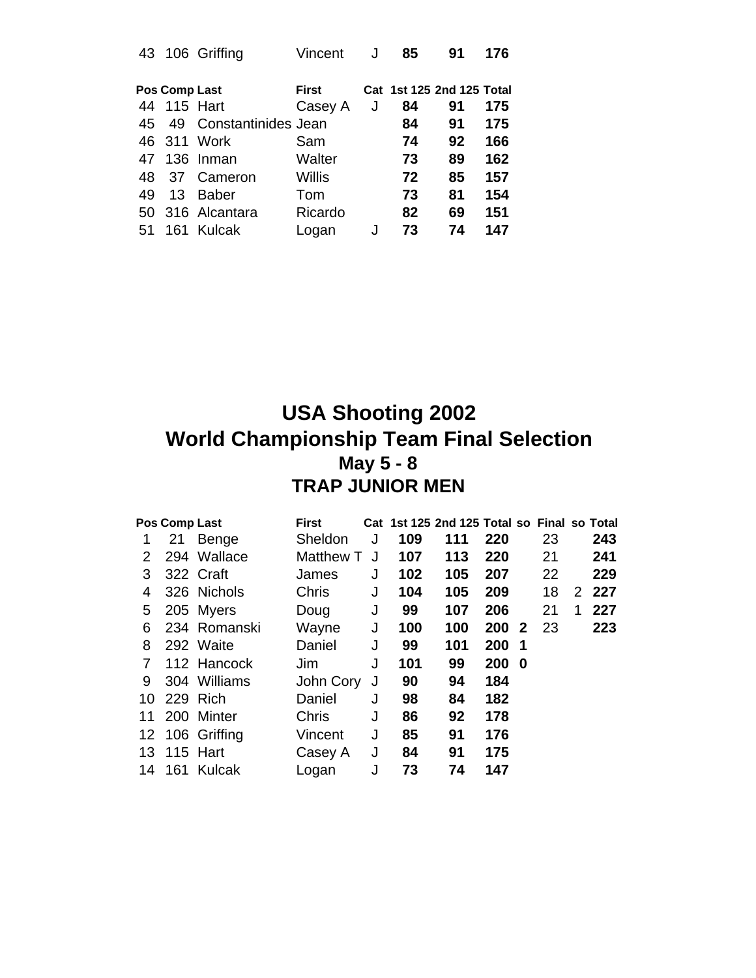| 43 |               | 106 Griffing        | Vincent      | J | 85 | 91                        | 176 |
|----|---------------|---------------------|--------------|---|----|---------------------------|-----|
|    | Pos Comp Last |                     | <b>First</b> |   |    | Cat 1st 125 2nd 125 Total |     |
| 44 |               | <b>115 Hart</b>     | Casey A      | J | 84 | 91                        | 175 |
| 45 | 49            | Constantinides Jean |              |   | 84 | 91                        | 175 |
|    |               | 46 311 Work         | Sam          |   | 74 | 92                        | 166 |
| 47 |               | 136 Inman           | Walter       |   | 73 | 89                        | 162 |
| 48 |               | 37 Cameron          | Willis       |   | 72 | 85                        | 157 |
| 49 | 13            | <b>Baber</b>        | Tom          |   | 73 | 81                        | 154 |
| 50 |               | 316 Alcantara       | Ricardo      |   | 82 | 69                        | 151 |
| 51 | 161           | Kulcak              | Logan        | J | 73 | 74                        | 147 |

# **USA Shooting 2002 World Championship Team Final Selection May 5 - 8 TRAP JUNIOR MEN**

|    | Pos Comp Last |                 | <b>First</b> |   |     | Cat 1st 125 2nd 125 Total so Final so Total |       |     |    |   |         |
|----|---------------|-----------------|--------------|---|-----|---------------------------------------------|-------|-----|----|---|---------|
|    | 21            | Benge           | Sheldon      | J | 109 | 111                                         | 220   |     | 23 |   | 243     |
| 2  |               | 294 Wallace     | Matthew T    | J | 107 | 113                                         | 220   |     | 21 |   | 241     |
| 3  |               | 322 Craft       | James        | J | 102 | 105                                         | 207   |     | 22 |   | 229     |
| 4  |               | 326 Nichols     | <b>Chris</b> | J | 104 | 105                                         | 209   |     | 18 |   | 2 2 2 7 |
| 5  |               | 205 Myers       | Doug         | J | 99  | 107                                         | 206   |     | 21 | 1 | 227     |
| 6  |               | 234 Romanski    | Wayne        | J | 100 | 100                                         | 200   | - 2 | 23 |   | 223     |
| 8  |               | 292 Waite       | Daniel       | J | 99  | 101                                         | 200   | - 1 |    |   |         |
| 7  |               | 112 Hancock     | Jim          | J | 101 | 99                                          | 200 0 |     |    |   |         |
| 9  |               | 304 Williams    | John Cory    | J | 90  | 94                                          | 184   |     |    |   |         |
| 10 |               | 229 Rich        | Daniel       | J | 98  | 84                                          | 182   |     |    |   |         |
| 11 |               | 200 Minter      | Chris        | J | 86  | 92                                          | 178   |     |    |   |         |
|    |               | 12 106 Griffing | Vincent      | J | 85  | 91                                          | 176   |     |    |   |         |
|    | 13 115 Hart   |                 | Casey A      | J | 84  | 91                                          | 175   |     |    |   |         |
|    |               | 14 161 Kulcak   | Logan        |   | 73  | 74                                          | 147   |     |    |   |         |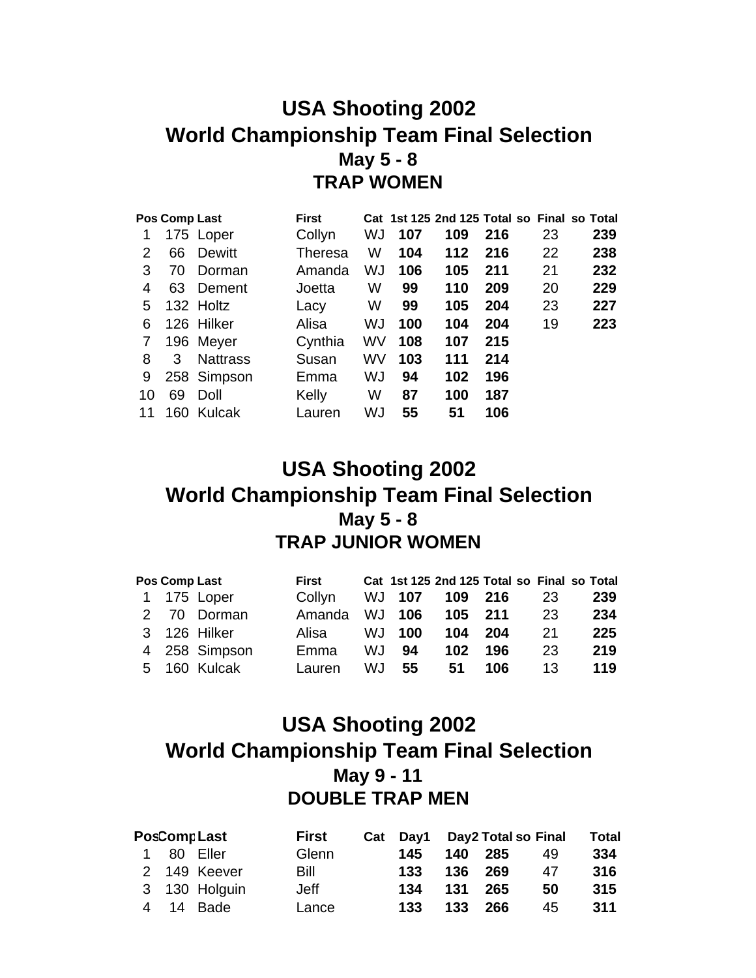### **USA Shooting 2002 World Championship Team Final Selection May 5 - 8 TRAP WOMEN**

|    | Pos Comp Last |                 | <b>First</b> |    |     |     | Cat 1st 125 2nd 125 Total so Final so Total |    |     |
|----|---------------|-----------------|--------------|----|-----|-----|---------------------------------------------|----|-----|
| 1  |               | 175 Loper       | Collyn       | WJ | 107 | 109 | 216                                         | 23 | 239 |
| 2  | 66            | Dewitt          | Theresa      | W  | 104 | 112 | 216                                         | 22 | 238 |
| 3  | 70            | Dorman          | Amanda       | WJ | 106 | 105 | 211                                         | 21 | 232 |
| 4  | 63            | Dement          | Joetta       | W  | 99  | 110 | 209                                         | 20 | 229 |
| 5  |               | 132 Holtz       | Lacy         | W  | 99  | 105 | 204                                         | 23 | 227 |
| 6  |               | 126 Hilker      | Alisa        | WJ | 100 | 104 | 204                                         | 19 | 223 |
| 7  |               | 196 Meyer       | Cynthia      | WV | 108 | 107 | 215                                         |    |     |
| 8  | 3             | <b>Nattrass</b> | Susan        | WV | 103 | 111 | 214                                         |    |     |
| 9  |               | 258 Simpson     | Emma         | WJ | 94  | 102 | 196                                         |    |     |
| 10 | 69            | Doll            | Kelly        | W  | 87  | 100 | 187                                         |    |     |
| 11 | 160           | Kulcak          | Lauren       | WJ | 55  | 51  | 106                                         |    |     |

### **USA Shooting 2002 World Championship Team Final Selection May 5 - 8 TRAP JUNIOR WOMEN**

|   | Pos Comp Last | First  |     |               |         |     |    | Cat 1st 125 2nd 125 Total so Final so Total |
|---|---------------|--------|-----|---------------|---------|-----|----|---------------------------------------------|
|   | 1 175 Loper   | Collyn |     | <b>WJ 107</b> | 109 216 |     | 23 | 239                                         |
|   | 2 70 Dorman   | Amanda |     | <b>WJ 106</b> | 105     | 211 | 23 | 234                                         |
|   | 3 126 Hilker  | Alisa  | WJ  | 100           | 104     | 204 | 21 | 225                                         |
|   | 4 258 Simpson | Emma   | WJ. | 94            | 102     | 196 | 23 | 219                                         |
| 5 | 160 Kulcak    | Lauren | WJ. | 55            | 51      | 106 | 13 | 119                                         |

# **USA Shooting 2002 World Championship Team Final Selection May 9 - 11 DOUBLE TRAP MEN**

|  | <b>PosCompLast</b> | <b>First</b> |     |     | Cat Day1 Day2 Total so Final |    | <b>Total</b> |
|--|--------------------|--------------|-----|-----|------------------------------|----|--------------|
|  | 1 80 Eller         | Glenn        | 145 |     | 140 285                      | 49 | 334          |
|  | 2 149 Keever       | Bill         | 133 |     | 136 269                      | 47 | 316          |
|  | 3 130 Holguin      | Jeff         | 134 |     | 131 265                      | 50 | 315          |
|  | 4 14 Bade          | Lance        | 133 | 133 | 266                          | 45 | 311          |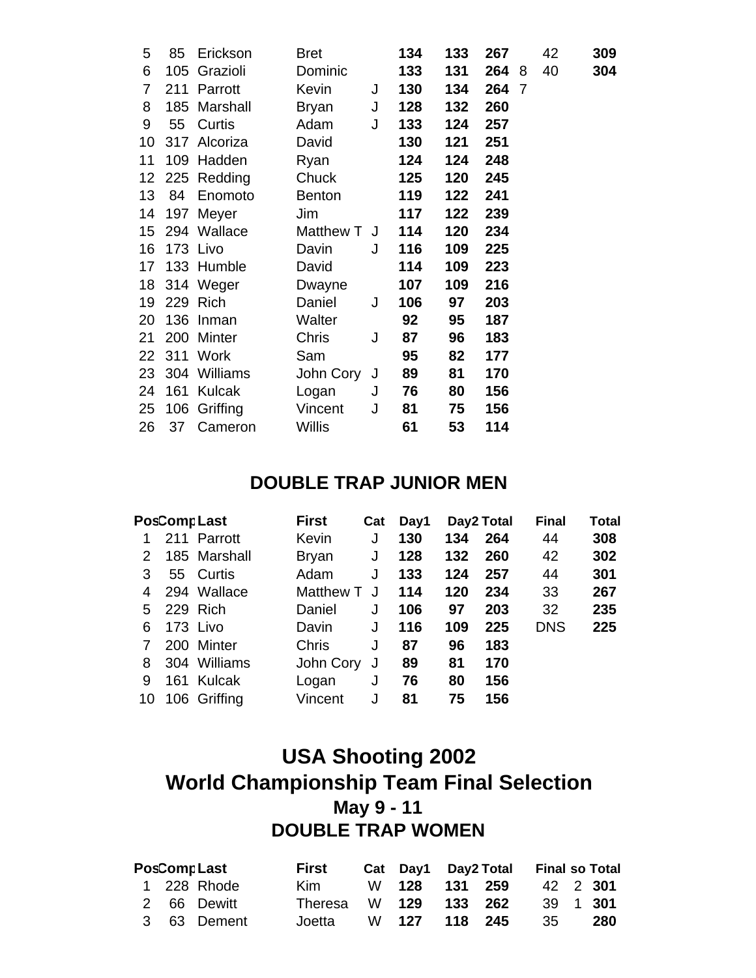| 5  | 85  | Erickson        | <b>Bret</b>   |   | 134 | 133 | 267   |   | 42 | 309 |
|----|-----|-----------------|---------------|---|-----|-----|-------|---|----|-----|
| 6  |     | 105 Grazioli    | Dominic       |   | 133 | 131 | 264 8 |   | 40 | 304 |
| 7  | 211 | Parrott         | Kevin         | J | 130 | 134 | 264   | 7 |    |     |
| 8  |     | 185 Marshall    | <b>Bryan</b>  | J | 128 | 132 | 260   |   |    |     |
| 9  | 55  | Curtis          | Adam          | J | 133 | 124 | 257   |   |    |     |
| 10 |     | 317 Alcoriza    | David         |   | 130 | 121 | 251   |   |    |     |
| 11 |     | 109 Hadden      | Ryan          |   | 124 | 124 | 248   |   |    |     |
|    |     | 12 225 Redding  | Chuck         |   | 125 | 120 | 245   |   |    |     |
| 13 | 84  | Enomoto         | Benton        |   | 119 | 122 | 241   |   |    |     |
| 14 |     | 197 Meyer       | Jim           |   | 117 | 122 | 239   |   |    |     |
|    |     | 15 294 Wallace  | Matthew T J   |   | 114 | 120 | 234   |   |    |     |
| 16 |     | 173 Livo        | Davin         | J | 116 | 109 | 225   |   |    |     |
| 17 |     | 133 Humble      | David         |   | 114 | 109 | 223   |   |    |     |
|    |     | 18 314 Weger    | Dwayne        |   | 107 | 109 | 216   |   |    |     |
| 19 |     | 229 Rich        | Daniel        | J | 106 | 97  | 203   |   |    |     |
| 20 |     | 136 Inman       | Walter        |   | 92  | 95  | 187   |   |    |     |
| 21 |     | 200 Minter      | Chris         | J | 87  | 96  | 183   |   |    |     |
|    |     | 22 311 Work     | Sam           |   | 95  | 82  | 177   |   |    |     |
|    |     | 23 304 Williams | John Cory J   |   | 89  | 81  | 170   |   |    |     |
| 24 | 161 | Kulcak          | Logan         | J | 76  | 80  | 156   |   |    |     |
|    |     | 25 106 Griffing | Vincent       | J | 81  | 75  | 156   |   |    |     |
| 26 | 37  | Cameron         | <b>Willis</b> |   | 61  | 53  | 114   |   |    |     |

#### **DOUBLE TRAP JUNIOR MEN**

|    | <b>PosCompLast</b> | <b>First</b> | Cat | Day1 |     | Day2 Total | <b>Final</b> | <b>Total</b> |
|----|--------------------|--------------|-----|------|-----|------------|--------------|--------------|
|    | 211 Parrott        | Kevin        | J   | 130  | 134 | 264        | 44           | 308          |
| 2  | 185 Marshall       | <b>Bryan</b> | J   | 128  | 132 | 260        | 42           | 302          |
| 3. | 55 Curtis          | Adam         | J   | 133  | 124 | 257        | 44           | 301          |
| 4  | 294 Wallace        | Matthew T    |     | 114  | 120 | 234        | 33           | 267          |
| 5. | 229 Rich           | Daniel       | J   | 106  | 97  | 203        | 32           | 235          |
| 6  | 173 Livo           | Davin        | J   | 116  | 109 | 225        | <b>DNS</b>   | 225          |
|    | 200 Minter         | <b>Chris</b> | J   | 87   | 96  | 183        |              |              |
| 8  | 304 Williams       | John Cory    | J   | 89   | 81  | 170        |              |              |
| 9  | 161 Kulcak         | Logan        | J   | 76   | 80  | 156        |              |              |
| 10 | 106 Griffing       | Vincent      | J   | 81   | 75  | 156        |              |              |

# **USA Shooting 2002 World Championship Team Final Selection May 9 - 11 DOUBLE TRAP WOMEN**

| <b>PosCompLast</b> |  | First       |                       | Cat Day1 Day2 Total | <b>Final so Total</b> |          |  |     |
|--------------------|--|-------------|-----------------------|---------------------|-----------------------|----------|--|-----|
|                    |  | 1 228 Rhode | Kim                   |                     | W 128 131 259         | 42 2 301 |  |     |
|                    |  | 2 66 Dewitt | Theresa W 129 133 262 |                     |                       | 39 1 301 |  |     |
|                    |  | 3 63 Dement | Joetta                | W 127 118 245       |                       | - 35     |  | 280 |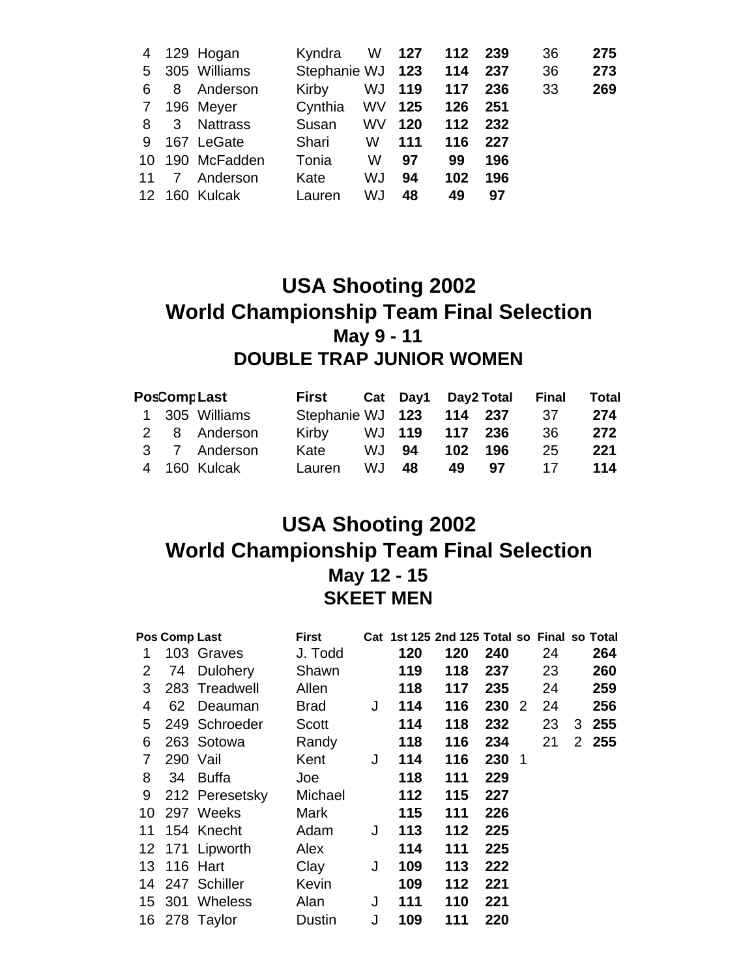| 4               |                | 129 Hogan       | Kyndra           | W         | 127 | 112 | 239 | 36 | 275 |
|-----------------|----------------|-----------------|------------------|-----------|-----|-----|-----|----|-----|
| 5.              |                | 305 Williams    | Stephanie WJ 123 |           |     | 114 | 237 | 36 | 273 |
| 6               | 8              | Anderson        | Kirby            | WJ        | 119 | 117 | 236 | 33 | 269 |
| 7               |                | 196 Meyer       | Cynthia          | WV        | 125 | 126 | 251 |    |     |
| 8               | 3              | <b>Nattrass</b> | Susan            | <b>WV</b> | 120 | 112 | 232 |    |     |
| 9               |                | 167 LeGate      | Shari            | W         | 111 | 116 | 227 |    |     |
| 10 <sup>°</sup> |                | 190 McFadden    | Tonia            | W         | 97  | 99  | 196 |    |     |
| 11              | $\overline{7}$ | Anderson        | Kate             | WJ        | 94  | 102 | 196 |    |     |
|                 |                | 12 160 Kulcak   | Lauren           | WJ        | 48  | 49  | 97  |    |     |

# **USA Shooting 2002 World Championship Team Final Selection May 9 - 11 DOUBLE TRAP JUNIOR WOMEN**

|  | <b>PosComp Last</b> | First                    |    |       |     | Cat Day1 Day2 Total Final |     | <b>Total</b> |
|--|---------------------|--------------------------|----|-------|-----|---------------------------|-----|--------------|
|  | 1 305 Williams      | Stephanie WJ 123 114 237 |    |       |     |                           | -37 | 274          |
|  | 2 8 Anderson        | Kirby WJ 119 117 236     |    |       |     |                           | 36  | 272          |
|  | 3 7 Anderson        | Kate                     |    | WJ 94 | 102 | 196                       | 25  | 221          |
|  | 4 160 Kulcak        | Lauren                   | WJ | 48    | 49  | 97                        | 17  | 114          |

# **USA Shooting 2002 World Championship Team Final Selection May 12 - 15 SKEET MEN**

|    | Pos Comp Last |                 | <b>First</b> |   |     | Cat 1st 125 2nd 125 Total so Final so Total |     |                          |    |       |
|----|---------------|-----------------|--------------|---|-----|---------------------------------------------|-----|--------------------------|----|-------|
| 1  |               | 103 Graves      | J. Todd      |   | 120 | 120                                         | 240 |                          | 24 | 264   |
| 2  | 74            | Dulohery        | Shawn        |   | 119 | 118                                         | 237 |                          | 23 | 260   |
| 3  |               | 283 Treadwell   | Allen        |   | 118 | 117                                         | 235 |                          | 24 | 259   |
| 4  | 62            | Deauman         | Brad         | J | 114 | 116                                         | 230 | $\overline{2}$           | 24 | 256   |
| 5  |               | 249 Schroeder   | Scott        |   | 114 | 118                                         | 232 |                          | 23 | 3255  |
| 6  |               | 263 Sotowa      | Randy        |   | 118 | 116                                         | 234 |                          | 21 | 2 255 |
| 7  |               | 290 Vail        | Kent         | J | 114 | 116                                         | 230 | $\overline{\phantom{1}}$ |    |       |
| 8  | 34            | <b>Buffa</b>    | Joe          |   | 118 | 111                                         | 229 |                          |    |       |
| 9  |               | 212 Peresetsky  | Michael      |   | 112 | 115                                         | 227 |                          |    |       |
| 10 |               | 297 Weeks       | Mark         |   | 115 | 111                                         | 226 |                          |    |       |
| 11 |               | 154 Knecht      | Adam         | J | 113 | 112                                         | 225 |                          |    |       |
|    |               | 12 171 Lipworth | Alex         |   | 114 | 111                                         | 225 |                          |    |       |
|    |               | 13 116 Hart     | Clay         | J | 109 | 113                                         | 222 |                          |    |       |
|    |               | 14 247 Schiller | Kevin        |   | 109 | 112                                         | 221 |                          |    |       |
|    |               | 15 301 Wheless  | Alan         | J | 111 | 110                                         | 221 |                          |    |       |
|    |               | 16 278 Taylor   | Dustin       | J | 109 | 111                                         | 220 |                          |    |       |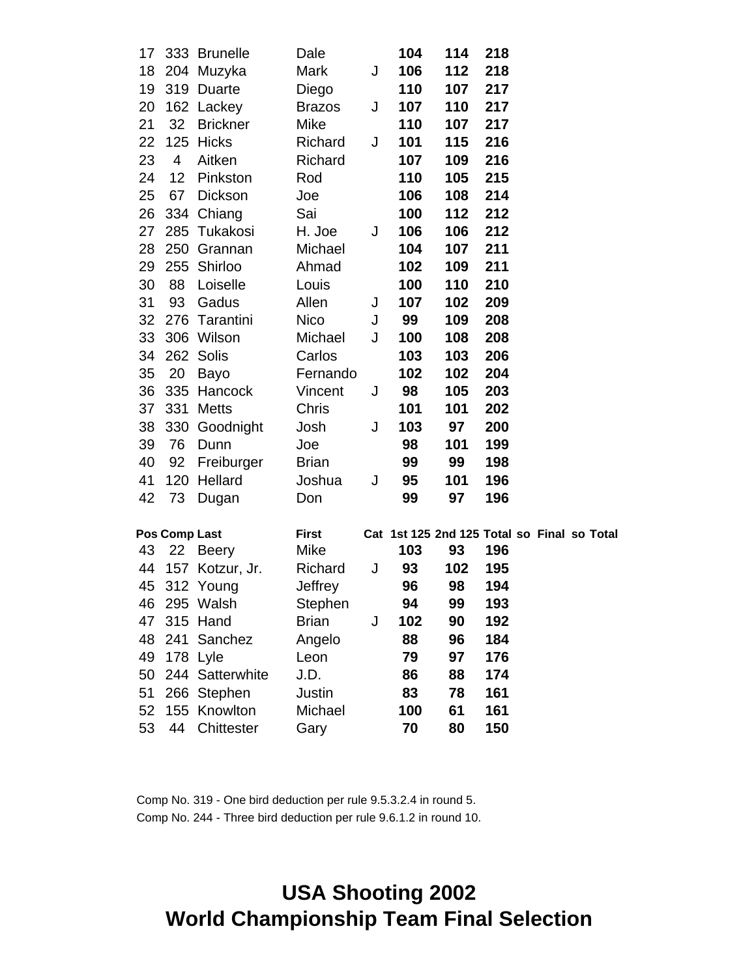| 17 |                 | 333 Brunelle     | Dale          |   | 104 | 114 | 218                                         |  |  |
|----|-----------------|------------------|---------------|---|-----|-----|---------------------------------------------|--|--|
| 18 |                 | 204 Muzyka       | Mark          | J | 106 | 112 | 218                                         |  |  |
| 19 |                 | 319 Duarte       | Diego         |   | 110 | 107 | 217                                         |  |  |
| 20 |                 | 162 Lackey       | <b>Brazos</b> | J | 107 | 110 | 217                                         |  |  |
| 21 | 32 <sup>2</sup> | <b>Brickner</b>  | Mike          |   | 110 | 107 | 217                                         |  |  |
| 22 | 125             | Hicks            | Richard       | J | 101 | 115 | 216                                         |  |  |
| 23 | $\overline{4}$  | Aitken           | Richard       |   | 107 | 109 | 216                                         |  |  |
| 24 | 12              | Pinkston         | Rod           |   | 110 | 105 | 215                                         |  |  |
| 25 | 67              | Dickson          | Joe           |   | 106 | 108 | 214                                         |  |  |
| 26 |                 | 334 Chiang       | Sai           |   | 100 | 112 | 212                                         |  |  |
| 27 |                 | 285 Tukakosi     | H. Joe        | J | 106 | 106 | 212                                         |  |  |
| 28 |                 | 250 Grannan      | Michael       |   | 104 | 107 | 211                                         |  |  |
| 29 |                 | 255 Shirloo      | Ahmad         |   | 102 | 109 | 211                                         |  |  |
| 30 | 88              | Loiselle         | Louis         |   | 100 | 110 | 210                                         |  |  |
| 31 | 93              | Gadus            | Allen         | J | 107 | 102 | 209                                         |  |  |
|    |                 | 32 276 Tarantini | Nico          | J | 99  | 109 | 208                                         |  |  |
| 33 |                 | 306 Wilson       | Michael       | J | 100 | 108 | 208                                         |  |  |
| 34 |                 | 262 Solis        | Carlos        |   | 103 | 103 | 206                                         |  |  |
| 35 | 20              | Bayo             | Fernando      |   | 102 | 102 | 204                                         |  |  |
| 36 |                 | 335 Hancock      | Vincent       | J | 98  | 105 | 203                                         |  |  |
| 37 | 331             | <b>Metts</b>     | Chris         |   | 101 | 101 | 202                                         |  |  |
| 38 |                 | 330 Goodnight    | Josh          | J | 103 | 97  | 200                                         |  |  |
| 39 | 76              | Dunn             | Joe           |   | 98  | 101 | 199                                         |  |  |
| 40 | 92              | Freiburger       | <b>Brian</b>  |   | 99  | 99  | 198                                         |  |  |
| 41 |                 | 120 Hellard      | Joshua        | J | 95  | 101 | 196                                         |  |  |
| 42 | 73              | Dugan            | Don           |   | 99  | 97  | 196                                         |  |  |
|    |                 |                  |               |   |     |     |                                             |  |  |
|    | Pos Comp Last   |                  | <b>First</b>  |   |     |     | Cat 1st 125 2nd 125 Total so Final so Total |  |  |
| 43 | 22              | Beery            | Mike          |   | 103 | 93  | 196                                         |  |  |
| 44 |                 | 157 Kotzur, Jr.  | Richard       | J | 93  | 102 | 195                                         |  |  |
|    |                 | 45 312 Young     | Jeffrey       |   | 96  | 98  | 194                                         |  |  |
| 46 |                 | 295 Walsh        | Stephen       |   | 94  | 99  | 193                                         |  |  |
| 47 |                 | 315 Hand         | <b>Brian</b>  | J | 102 | 90  | 192                                         |  |  |
| 48 |                 | 241 Sanchez      | Angelo        |   | 88  | 96  | 184                                         |  |  |
| 49 |                 | 178 Lyle         | Leon          |   | 79  | 97  | 176                                         |  |  |
| 50 |                 | 244 Satterwhite  | J.D.          |   | 86  | 88  | 174                                         |  |  |
| 51 |                 | 266 Stephen      | Justin        |   | 83  | 78  | 161                                         |  |  |
| 52 | 155             | Knowlton         | Michael       |   | 100 | 61  | 161                                         |  |  |
| 53 | 44              | Chittester       | Gary          |   | 70  | 80  | 150                                         |  |  |

Comp No. 319 - One bird deduction per rule 9.5.3.2.4 in round 5. Comp No. 244 - Three bird deduction per rule 9.6.1.2 in round 10.

# **USA Shooting 2002 World Championship Team Final Selection**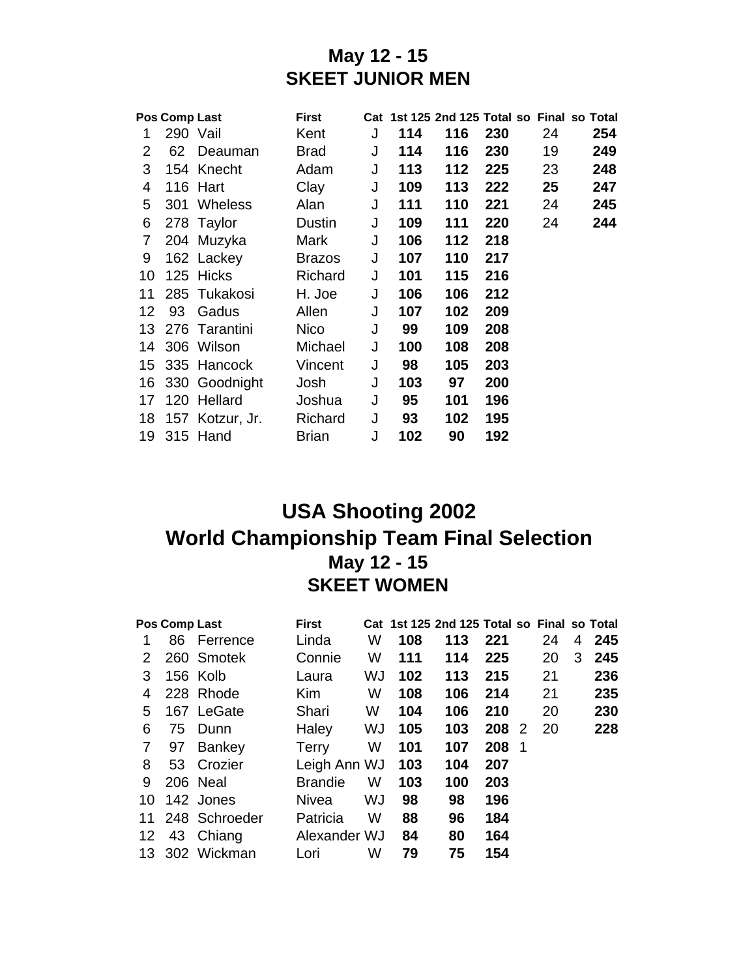#### **May 12 - 15 SKEET JUNIOR MEN**

| Pos Comp Last<br><b>First</b> |          |                 |               |   |     | Cat 1st 125 2nd 125 Total so Final so Total |     |    |     |
|-------------------------------|----------|-----------------|---------------|---|-----|---------------------------------------------|-----|----|-----|
| 1                             | 290 Vail |                 | Kent          | J | 114 | 116                                         | 230 | 24 | 254 |
| 2                             | 62       | Deauman         | <b>Brad</b>   | J | 114 | 116                                         | 230 | 19 | 249 |
| 3                             |          | 154 Knecht      | Adam          | J | 113 | 112                                         | 225 | 23 | 248 |
| 4                             |          | 116 Hart        | Clay          | J | 109 | 113                                         | 222 | 25 | 247 |
| 5                             |          | 301 Wheless     | Alan          | J | 111 | 110                                         | 221 | 24 | 245 |
| 6                             |          | 278 Taylor      | Dustin        | J | 109 | 111                                         | 220 | 24 | 244 |
| 7                             |          | 204 Muzyka      | Mark          | J | 106 | 112                                         | 218 |    |     |
| 9                             |          | 162 Lackey      | <b>Brazos</b> | J | 107 | 110                                         | 217 |    |     |
| 10                            |          | 125 Hicks       | Richard       | J | 101 | 115                                         | 216 |    |     |
| 11                            |          | 285 Tukakosi    | H. Joe        | J | 106 | 106                                         | 212 |    |     |
| 12                            | 93       | Gadus           | Allen         | J | 107 | 102                                         | 209 |    |     |
| 13.                           |          | 276 Tarantini   | <b>Nico</b>   | J | 99  | 109                                         | 208 |    |     |
| 14                            |          | 306 Wilson      | Michael       | J | 100 | 108                                         | 208 |    |     |
| 15                            |          | 335 Hancock     | Vincent       | J | 98  | 105                                         | 203 |    |     |
| 16                            |          | 330 Goodnight   | Josh          | J | 103 | 97                                          | 200 |    |     |
| 17                            |          | 120 Hellard     | Joshua        | J | 95  | 101                                         | 196 |    |     |
| 18                            |          | 157 Kotzur, Jr. | Richard       | J | 93  | 102                                         | 195 |    |     |
| 19                            |          | 315 Hand        | <b>Brian</b>  | J | 102 | 90                                          | 192 |    |     |

# **USA Shooting 2002 World Championship Team Final Selection May 12 - 15 SKEET WOMEN**

|    | Pos Comp Last |                | <b>First</b>   |    |     | Cat 1st 125 2nd 125 Total so Final so Total |     |     |    |   |     |
|----|---------------|----------------|----------------|----|-----|---------------------------------------------|-----|-----|----|---|-----|
| 1  |               | 86 Ferrence    | Linda          | W  | 108 | 113                                         | 221 |     | 24 | 4 | 245 |
| 2  |               | 260 Smotek     | Connie         | W  | 111 | 114                                         | 225 |     | 20 | 3 | 245 |
| 3  |               | 156 Kolb       | Laura          | WJ | 102 | 113                                         | 215 |     | 21 |   | 236 |
| 4  |               | 228 Rhode      | Kim            | W  | 108 | 106                                         | 214 |     | 21 |   | 235 |
| 5  |               | 167 LeGate     | Shari          | W  | 104 | 106                                         | 210 |     | 20 |   | 230 |
| 6  | 75            | Dunn           | Haley          | WJ | 105 | 103                                         | 208 | -2  | 20 |   | 228 |
| 7  | 97            | <b>Bankey</b>  | <b>Terry</b>   | W  | 101 | 107                                         | 208 | - 1 |    |   |     |
| 8  |               | 53 Crozier     | Leigh Ann WJ   |    | 103 | 104                                         | 207 |     |    |   |     |
| 9  |               | 206 Neal       | <b>Brandie</b> | W  | 103 | 100                                         | 203 |     |    |   |     |
| 10 |               | 142 Jones      | Nivea          | WJ | 98  | 98                                          | 196 |     |    |   |     |
| 11 |               | 248 Schroeder  | Patricia       | W  | 88  | 96                                          | 184 |     |    |   |     |
| 12 |               | 43 Chiang      | Alexander WJ   |    | 84  | 80                                          | 164 |     |    |   |     |
|    |               | 13 302 Wickman | Lori           | W  | 79  | 75                                          | 154 |     |    |   |     |